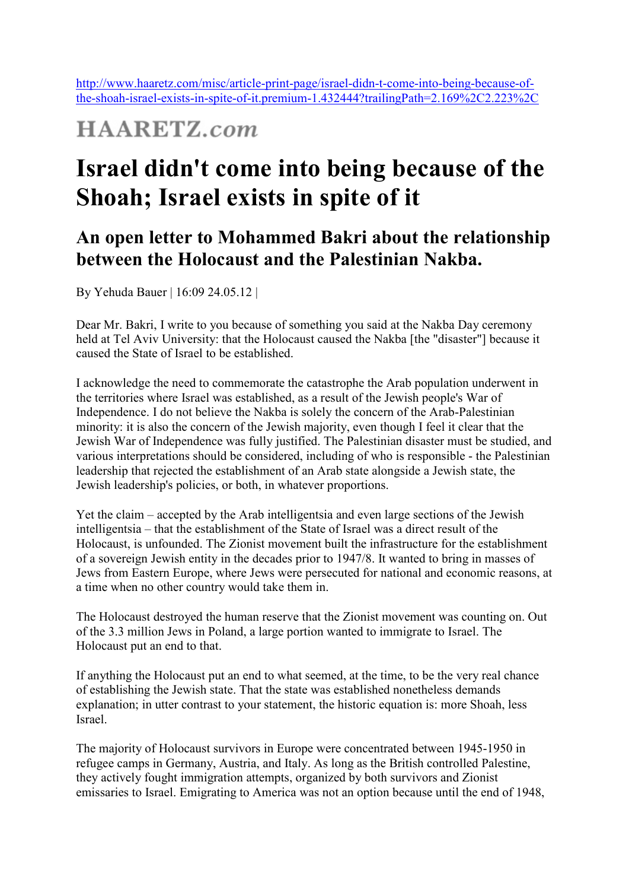http://www.haaretz.com/misc/article-print-page/israel-didn-t-come-into-being-because-ofthe-shoah-israel-exists-in-spite-of-it.premium-1.432444?trailingPath=2.169%2C2.223%2C

## **HAARETZ.com**

## **Israel didn't come into being because of the Shoah; Israel exists in spite of it**

## **An open letter to Mohammed Bakri about the relationship between the Holocaust and the Palestinian Nakba.**

By Yehuda Bauer | 16:09 24.05.12 |

Dear Mr. Bakri, I write to you because of something you said at the Nakba Day ceremony held at Tel Aviv University: that the Holocaust caused the Nakba [the "disaster"] because it caused the State of Israel to be established.

I acknowledge the need to commemorate the catastrophe the Arab population underwent in the territories where Israel was established, as a result of the Jewish people's War of Independence. I do not believe the Nakba is solely the concern of the Arab-Palestinian minority: it is also the concern of the Jewish majority, even though I feel it clear that the Jewish War of Independence was fully justified. The Palestinian disaster must be studied, and various interpretations should be considered, including of who is responsible - the Palestinian leadership that rejected the establishment of an Arab state alongside a Jewish state, the Jewish leadership's policies, or both, in whatever proportions.

Yet the claim – accepted by the Arab intelligentsia and even large sections of the Jewish intelligentsia – that the establishment of the State of Israel was a direct result of the Holocaust, is unfounded. The Zionist movement built the infrastructure for the establishment of a sovereign Jewish entity in the decades prior to 1947/8. It wanted to bring in masses of Jews from Eastern Europe, where Jews were persecuted for national and economic reasons, at a time when no other country would take them in.

The Holocaust destroyed the human reserve that the Zionist movement was counting on. Out of the 3.3 million Jews in Poland, a large portion wanted to immigrate to Israel. The Holocaust put an end to that.

If anything the Holocaust put an end to what seemed, at the time, to be the very real chance of establishing the Jewish state. That the state was established nonetheless demands explanation; in utter contrast to your statement, the historic equation is: more Shoah, less Israel.

The majority of Holocaust survivors in Europe were concentrated between 1945-1950 in refugee camps in Germany, Austria, and Italy. As long as the British controlled Palestine, they actively fought immigration attempts, organized by both survivors and Zionist emissaries to Israel. Emigrating to America was not an option because until the end of 1948,